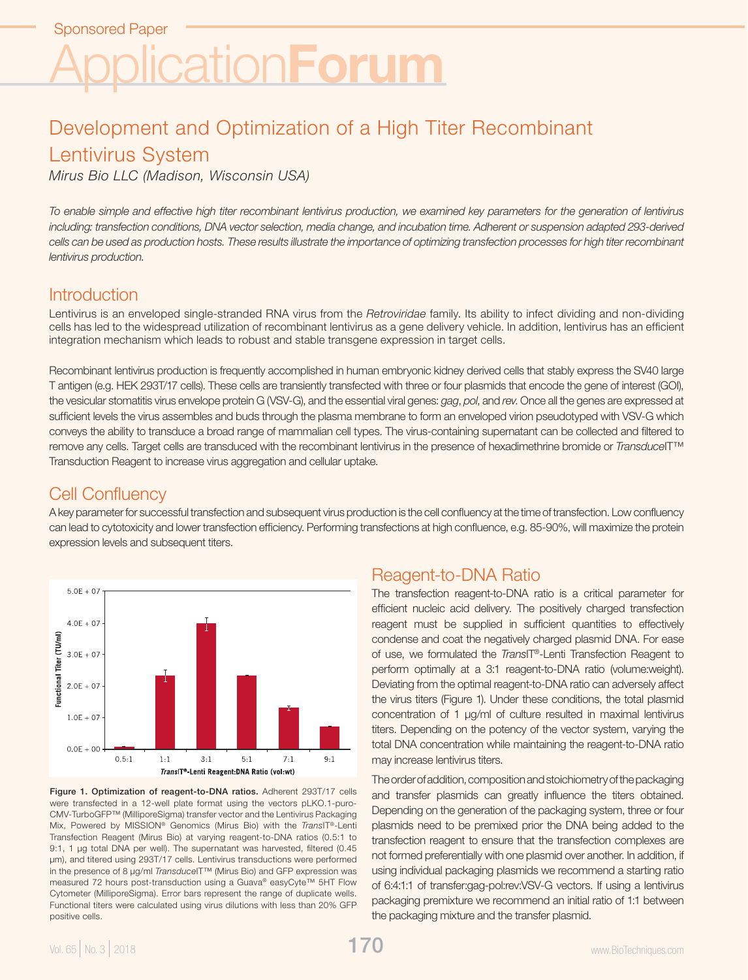# Development and Optimization of a High Titer Recombinant Lentivirus System

*Mirus Bio LLC (Madison, Wisconsin USA)*

*To enable simple and effective high titer recombinant lentivirus production, we examined key parameters for the generation of lentivirus*  including: transfection conditions, DNA vector selection, media change, and incubation time. Adherent or suspension adapted 293-derived cells can be used as production hosts. These results illustrate the importance of optimizing transfection processes for high titer recombinant *lentivirus production.*

### **Introduction**

Lentivirus is an enveloped single-stranded RNA virus from the *Retroviridae* family. Its ability to infect dividing and non-dividing cells has led to the widespread utilization of recombinant lentivirus as a gene delivery vehicle. In addition, lentivirus has an efficient integration mechanism which leads to robust and stable transgene expression in target cells.

Recombinant lentivirus production is frequently accomplished in human embryonic kidney derived cells that stably express the SV40 large T antigen (e.g. HEK 293T/17 cells). These cells are transiently transfected with three or four plasmids that encode the gene of interest (GOI), the vesicular stomatitis virus envelope protein G (VSV-G), and the essential viral genes: *gag*, *pol*, and *rev*. Once all the genes are expressed at sufficient levels the virus assembles and buds through the plasma membrane to form an enveloped virion pseudotyped with VSV-G which conveys the ability to transduce a broad range of mammalian cell types. The virus-containing supernatant can be collected and filtered to remove any cells. Target cells are transduced with the recombinant lentivirus in the presence of hexadimethrine bromide or *Transduce*IT™ Transduction Reagent to increase virus aggregation and cellular uptake.

# Cell Confluency

A key parameter for successful transfection and subsequent virus production is the cell confluency at the time of transfection. Low confluency can lead to cytotoxicity and lower transfection efficiency. Performing transfections at high confluence, e.g. 85-90%, will maximize the protein expression levels and subsequent titers.



Figure 1. Optimization of reagent-to-DNA ratios. Adherent 293T/17 cells were transfected in a 12-well plate format using the vectors pLKO.1-puro-CMV-TurboGFP™ (MilliporeSigma) transfer vector and the Lentivirus Packaging Mix, Powered by MISSION® Genomics (Mirus Bio) with the *Trans*IT®-Lenti Transfection Reagent (Mirus Bio) at varying reagent-to-DNA ratios (0.5:1 to 9:1, 1 μg total DNA per well). The supernatant was harvested, filtered (0.45 µm), and titered using 293T/17 cells. Lentivirus transductions were performed in the presence of 8 µg/ml *Transduce*IT™ (Mirus Bio) and GFP expression was measured 72 hours post-transduction using a Guava® easyCyte™ 5HT Flow Cytometer (MilliporeSigma). Error bars represent the range of duplicate wells. Functional titers were calculated using virus dilutions with less than 20% GFP positive cells.

# Reagent-to-DNA Ratio

The transfection reagent-to-DNA ratio is a critical parameter for efficient nucleic acid delivery. The positively charged transfection reagent must be supplied in sufficient quantities to effectively condense and coat the negatively charged plasmid DNA. For ease of use, we formulated the *Trans*IT®-Lenti Transfection Reagent to perform optimally at a 3:1 reagent-to-DNA ratio (volume:weight). Deviating from the optimal reagent-to-DNA ratio can adversely affect the virus titers (Figure 1). Under these conditions, the total plasmid concentration of 1 µg/ml of culture resulted in maximal lentivirus titers. Depending on the potency of the vector system, varying the total DNA concentration while maintaining the reagent-to-DNA ratio may increase lentivirus titers.

The order of addition, composition and stoichiometry of the packaging and transfer plasmids can greatly influence the titers obtained. Depending on the generation of the packaging system, three or four plasmids need to be premixed prior the DNA being added to the transfection reagent to ensure that the transfection complexes are not formed preferentially with one plasmid over another. In addition, if using individual packaging plasmids we recommend a starting ratio of 6:4:1:1 of transfer:gag-pol:rev:VSV-G vectors. If using a lentivirus packaging premixture we recommend an initial ratio of 1:1 between the packaging mixture and the transfer plasmid.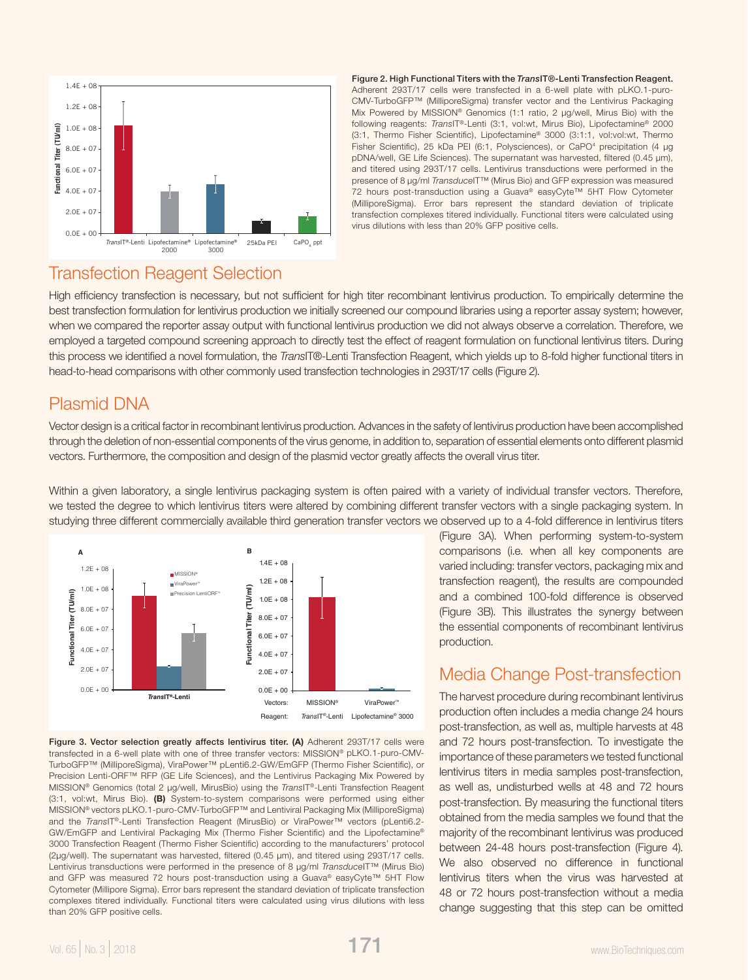

Figure 2. High Functional Titers with the *Trans*IT®-Lenti Transfection Reagent. Adherent 293T/17 cells were transfected in a 6-well plate with pLKO.1-puro-CMV-TurboGFP™ (MilliporeSigma) transfer vector and the Lentivirus Packaging Mix Powered by MISSION® Genomics (1:1 ratio, 2 µg/well, Mirus Bio) with the following reagents: *Trans*IT®-Lenti (3:1, vol:wt, Mirus Bio), Lipofectamine® 2000 (3:1, Thermo Fisher Scientific), Lipofectamine® 3000 (3:1:1, vol:vol:wt, Thermo Fisher Scientific), 25 kDa PEI (6:1, Polysciences), or CaPO<sup>4</sup> precipitation (4 µg pDNA/well, GE Life Sciences). The supernatant was harvested, filtered (0.45 µm), and titered using 293T/17 cells. Lentivirus transductions were performed in the presence of 8 µg/ml *Transduce*IT™ (Mirus Bio) and GFP expression was measured 72 hours post-transduction using a Guava® easyCyte™ 5HT Flow Cytometer (MilliporeSigma). Error bars represent the standard deviation of triplicate transfection complexes titered individually. Functional titers were calculated using virus dilutions with less than 20% GFP positive cells.

#### Transfection Reagent Selection

High efficiency transfection is necessary, but not sufficient for high titer recombinant lentivirus production. To empirically determine the best transfection formulation for lentivirus production we initially screened our compound libraries using a reporter assay system; however, when we compared the reporter assay output with functional lentivirus production we did not always observe a correlation. Therefore, we employed a targeted compound screening approach to directly test the effect of reagent formulation on functional lentivirus titers. During this process we identified a novel formulation, the *Trans*IT®-Lenti Transfection Reagent, which yields up to 8-fold higher functional titers in head-to-head comparisons with other commonly used transfection technologies in 293T/17 cells (Figure 2).

# Plasmid DNA

Vector design is a critical factor in recombinant lentivirus production. Advances in the safety of lentivirus production have been accomplished through the deletion of non-essential components of the virus genome, in addition to, separation of essential elements onto different plasmid vectors. Furthermore, the composition and design of the plasmid vector greatly affects the overall virus titer.

Within a given laboratory, a single lentivirus packaging system is often paired with a variety of individual transfer vectors. Therefore, we tested the degree to which lentivirus titers were altered by combining different transfer vectors with a single packaging system. In studying three different commercially available third generation transfer vectors we observed up to a 4-fold difference in lentivirus titers



Figure 3. Vector selection greatly affects lentivirus titer. (A) Adherent 293T/17 cells were transfected in a 6-well plate with one of three transfer vectors: MISSION® pLKO.1-puro-CMV-TurboGFP™ (MilliporeSigma), ViraPower™ pLenti6.2-GW/EmGFP (Thermo Fisher Scientific), or Precision Lenti-ORF™ RFP (GE Life Sciences), and the Lentivirus Packaging Mix Powered by MISSION® Genomics (total 2 µg/well, MirusBio) using the *Trans*IT®-Lenti Transfection Reagent (3:1, vol:wt, Mirus Bio). (B) System-to-system comparisons were performed using either MISSION® vectors pLKO.1-puro-CMV-TurboGFP™ and Lentiviral Packaging Mix (MilliporeSigma) and the *Trans*IT®-Lenti Transfection Reagent (MirusBio) or ViraPower™ vectors (pLenti6.2- GW/EmGFP and Lentiviral Packaging Mix (Thermo Fisher Scientific) and the Lipofectamine® 3000 Transfection Reagent (Thermo Fisher Scientific) according to the manufacturers' protocol (2μg/well). The supernatant was harvested, filtered (0.45 µm), and titered using 293T/17 cells. Lentivirus transductions were performed in the presence of 8 µg/ml *Transduce*IT™ (Mirus Bio) and GFP was measured 72 hours post-transduction using a Guava® easyCyte™ 5HT Flow Cytometer (Millipore Sigma). Error bars represent the standard deviation of triplicate transfection complexes titered individually. Functional titers were calculated using virus dilutions with less than 20% GFP positive cells.

(Figure 3A). When performing system-to-system comparisons (i.e. when all key components are varied including: transfer vectors, packaging mix and transfection reagent), the results are compounded and a combined 100-fold difference is observed (Figure 3B). This illustrates the synergy between the essential components of recombinant lentivirus production.

# Media Change Post-transfection

The harvest procedure during recombinant lentivirus production often includes a media change 24 hours post-transfection, as well as, multiple harvests at 48 and 72 hours post-transfection. To investigate the importance of these parameters we tested functional lentivirus titers in media samples post-transfection, as well as, undisturbed wells at 48 and 72 hours post-transfection. By measuring the functional titers obtained from the media samples we found that the majority of the recombinant lentivirus was produced between 24-48 hours post-transfection (Figure 4). We also observed no difference in functional lentivirus titers when the virus was harvested at 48 or 72 hours post-transfection without a media change suggesting that this step can be omitted